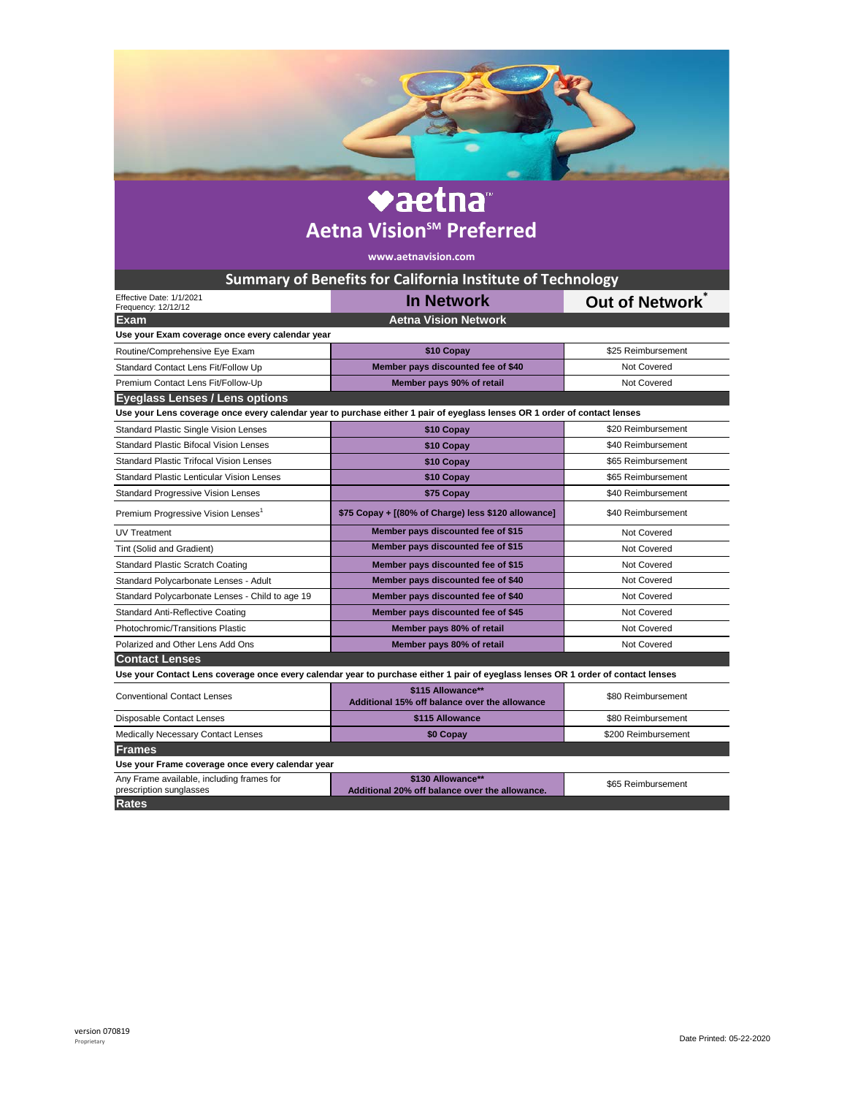## vaetna **Aetna Vision<sup>SM</sup> Preferred**

**www.aetnavision.com**

| <b>Summary of Benefits for California Institute of Technology</b>                                                                 |                                                                     |                     |
|-----------------------------------------------------------------------------------------------------------------------------------|---------------------------------------------------------------------|---------------------|
| Effective Date: 1/1/2021<br>Frequency: 12/12/12                                                                                   | <b>In Network</b>                                                   | Out of Network      |
| <b>Aetna Vision Network</b><br><b>Exam</b>                                                                                        |                                                                     |                     |
| Use your Exam coverage once every calendar year                                                                                   |                                                                     |                     |
| Routine/Comprehensive Eye Exam                                                                                                    | \$10 Copay                                                          | \$25 Reimbursement  |
| Standard Contact Lens Fit/Follow Up                                                                                               | Member pays discounted fee of \$40                                  | Not Covered         |
| Premium Contact Lens Fit/Follow-Up                                                                                                | Member pays 90% of retail                                           | Not Covered         |
| <b>Eyeglass Lenses / Lens options</b>                                                                                             |                                                                     |                     |
| Use your Lens coverage once every calendar year to purchase either 1 pair of eyeglass lenses OR 1 order of contact lenses         |                                                                     |                     |
| <b>Standard Plastic Single Vision Lenses</b>                                                                                      | \$10 Copay                                                          | \$20 Reimbursement  |
| <b>Standard Plastic Bifocal Vision Lenses</b>                                                                                     | \$10 Copay                                                          | \$40 Reimbursement  |
| Standard Plastic Trifocal Vision Lenses                                                                                           | \$10 Copay                                                          | \$65 Reimbursement  |
| <b>Standard Plastic Lenticular Vision Lenses</b>                                                                                  | \$10 Copay                                                          | \$65 Reimbursement  |
| <b>Standard Progressive Vision Lenses</b>                                                                                         | \$75 Copay                                                          | \$40 Reimbursement  |
| Premium Progressive Vision Lenses <sup>1</sup>                                                                                    | \$75 Copay + [(80% of Charge) less \$120 allowance]                 | \$40 Reimbursement  |
| UV Treatment                                                                                                                      | Member pays discounted fee of \$15                                  | Not Covered         |
| Tint (Solid and Gradient)                                                                                                         | Member pays discounted fee of \$15                                  | Not Covered         |
| <b>Standard Plastic Scratch Coating</b>                                                                                           | Member pays discounted fee of \$15                                  | Not Covered         |
| Standard Polycarbonate Lenses - Adult                                                                                             | Member pays discounted fee of \$40                                  | Not Covered         |
| Standard Polycarbonate Lenses - Child to age 19                                                                                   | Member pays discounted fee of \$40                                  | Not Covered         |
| Standard Anti-Reflective Coating                                                                                                  | Member pays discounted fee of \$45                                  | Not Covered         |
| Photochromic/Transitions Plastic                                                                                                  | Member pays 80% of retail                                           | Not Covered         |
| Polarized and Other Lens Add Ons                                                                                                  | Member pays 80% of retail                                           | Not Covered         |
| <b>Contact Lenses</b>                                                                                                             |                                                                     |                     |
| Use your Contact Lens coverage once every calendar year to purchase either 1 pair of eyeglass lenses OR 1 order of contact lenses |                                                                     |                     |
| <b>Conventional Contact Lenses</b>                                                                                                | \$115 Allowance**<br>Additional 15% off balance over the allowance  | \$80 Reimbursement  |
| Disposable Contact Lenses                                                                                                         | \$115 Allowance                                                     | \$80 Reimbursement  |
| Medically Necessary Contact Lenses                                                                                                | \$0 Copay                                                           | \$200 Reimbursement |
| <b>Frames</b>                                                                                                                     |                                                                     |                     |
| Use your Frame coverage once every calendar year                                                                                  |                                                                     |                     |
| Any Frame available, including frames for<br>prescription sunglasses                                                              | \$130 Allowance**<br>Additional 20% off balance over the allowance. | \$65 Reimbursement  |
| <b>Rates</b>                                                                                                                      |                                                                     |                     |